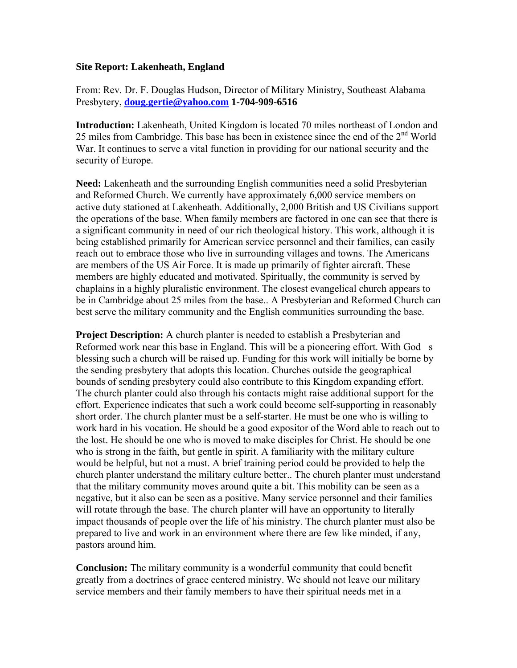## **Site Report: Lakenheath, England**

From: Rev. Dr. F. Douglas Hudson, Director of Military Ministry, Southeast Alabama Presbytery, **[doug.gertie@yahoo.com](mailto:doug.gertie@yahoo.com) 1-704-909-6516**

**Introduction:** Lakenheath, United Kingdom is located 70 miles northeast of London and 25 miles from Cambridge. This base has been in existence since the end of the 2nd World War. It continues to serve a vital function in providing for our national security and the security of Europe.

**Need:** Lakenheath and the surrounding English communities need a solid Presbyterian and Reformed Church. We currently have approximately 6,000 service members on active duty stationed at Lakenheath. Additionally, 2,000 British and US Civilians support the operations of the base. When family members are factored in one can see that there is a significant community in need of our rich theological history. This work, although it is being established primarily for American service personnel and their families, can easily reach out to embrace those who live in surrounding villages and towns. The Americans are members of the US Air Force. It is made up primarily of fighter aircraft. These members are highly educated and motivated. Spiritually, the community is served by chaplains in a highly pluralistic environment. The closest evangelical church appears to be in Cambridge about 25 miles from the base.. A Presbyterian and Reformed Church can best serve the military community and the English communities surrounding the base.

**Project Description:** A church planter is needed to establish a Presbyterian and Reformed work near this base in England. This will be a pioneering effort. With God s blessing such a church will be raised up. Funding for this work will initially be borne by the sending presbytery that adopts this location. Churches outside the geographical bounds of sending presbytery could also contribute to this Kingdom expanding effort. The church planter could also through his contacts might raise additional support for the effort. Experience indicates that such a work could become self-supporting in reasonably short order. The church planter must be a self-starter. He must be one who is willing to work hard in his vocation. He should be a good expositor of the Word able to reach out to the lost. He should be one who is moved to make disciples for Christ. He should be one who is strong in the faith, but gentle in spirit. A familiarity with the military culture would be helpful, but not a must. A brief training period could be provided to help the church planter understand the military culture better.. The church planter must understand that the military community moves around quite a bit. This mobility can be seen as a negative, but it also can be seen as a positive. Many service personnel and their families will rotate through the base. The church planter will have an opportunity to literally impact thousands of people over the life of his ministry. The church planter must also be prepared to live and work in an environment where there are few like minded, if any, pastors around him.

**Conclusion:** The military community is a wonderful community that could benefit greatly from a doctrines of grace centered ministry. We should not leave our military service members and their family members to have their spiritual needs met in a